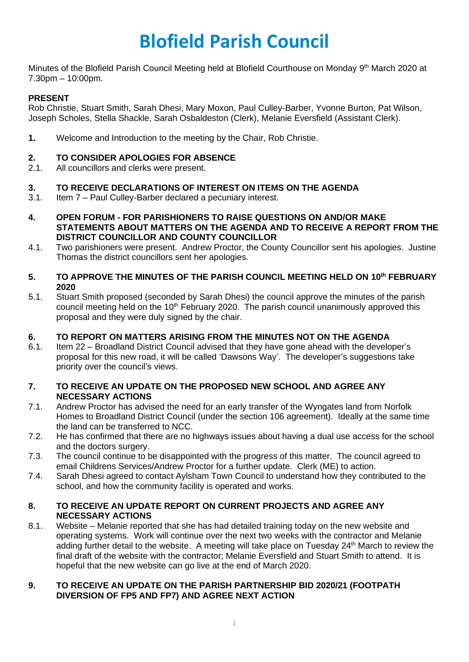# **Blofield Parish Council**

Minutes of the Blofield Parish Council Meeting held at Blofield Courthouse on Monday 9<sup>th</sup> March 2020 at 7.30pm – 10:00pm.

# **PRESENT**

Rob Christie, Stuart Smith, Sarah Dhesi, Mary Moxon, Paul Culley-Barber, Yvonne Burton, Pat Wilson, Joseph Scholes, Stella Shackle, Sarah Osbaldeston (Clerk), Melanie Eversfield (Assistant Clerk).

**1.** Welcome and Introduction to the meeting by the Chair, Rob Christie.

#### **2. TO CONSIDER APOLOGIES FOR ABSENCE**

2.1. All councillors and clerks were present.

#### **3. TO RECEIVE DECLARATIONS OF INTEREST ON ITEMS ON THE AGENDA**

- 3.1. Item 7 Paul Culley-Barber declared a pecuniary interest.
- **4. OPEN FORUM - FOR PARISHIONERS TO RAISE QUESTIONS ON AND/OR MAKE STATEMENTS ABOUT MATTERS ON THE AGENDA AND TO RECEIVE A REPORT FROM THE DISTRICT COUNCILLOR AND COUNTY COUNCILLOR**
- 4.1. Two parishioners were present. Andrew Proctor, the County Councillor sent his apologies. Justine Thomas the district councillors sent her apologies.
- **5. TO APPROVE THE MINUTES OF THE PARISH COUNCIL MEETING HELD ON 10th FEBRUARY 2020**
- 5.1. Stuart Smith proposed (seconded by Sarah Dhesi) the council approve the minutes of the parish council meeting held on the 10<sup>th</sup> February 2020. The parish council unanimously approved this proposal and they were duly signed by the chair.

#### **6. TO REPORT ON MATTERS ARISING FROM THE MINUTES NOT ON THE AGENDA**

6.1. Item 22 – Broadland District Council advised that they have gone ahead with the developer's proposal for this new road, it will be called 'Dawsons Way'. The developer's suggestions take priority over the council's views.

#### **7. TO RECEIVE AN UPDATE ON THE PROPOSED NEW SCHOOL AND AGREE ANY NECESSARY ACTIONS**

- 7.1. Andrew Proctor has advised the need for an early transfer of the Wyngates land from Norfolk Homes to Broadland District Council (under the section 106 agreement). Ideally at the same time the land can be transferred to NCC.
- 7.2. He has confirmed that there are no highways issues about having a dual use access for the school and the doctors surgery.
- 7.3. The council continue to be disappointed with the progress of this matter. The council agreed to email Childrens Services/Andrew Proctor for a further update. Clerk (ME) to action.
- 7.4. Sarah Dhesi agreed to contact Aylsham Town Council to understand how they contributed to the school, and how the community facility is operated and works.

#### **8. TO RECEIVE AN UPDATE REPORT ON CURRENT PROJECTS AND AGREE ANY NECESSARY ACTIONS**

8.1. Website – Melanie reported that she has had detailed training today on the new website and operating systems. Work will continue over the next two weeks with the contractor and Melanie adding further detail to the website. A meeting will take place on Tuesday 24<sup>th</sup> March to review the final draft of the website with the contractor; Melanie Eversfield and Stuart Smith to attend. It is hopeful that the new website can go live at the end of March 2020.

#### **9. TO RECEIVE AN UPDATE ON THE PARISH PARTNERSHIP BID 2020/21 (FOOTPATH DIVERSION OF FP5 AND FP7) AND AGREE NEXT ACTION**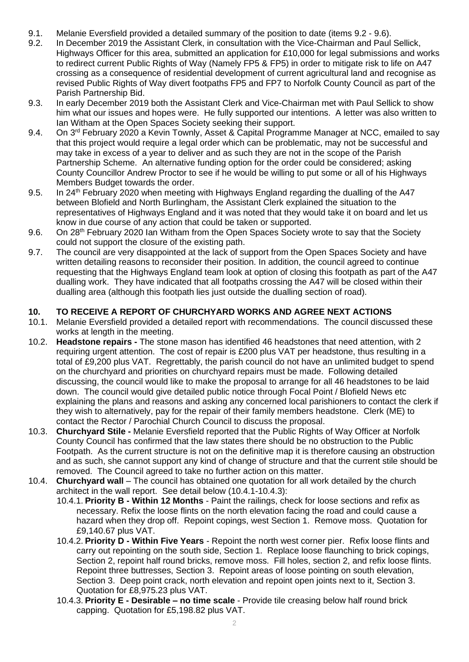- 9.1. Melanie Eversfield provided a detailed summary of the position to date (items 9.2 9.6).
- 9.2. In December 2019 the Assistant Clerk, in consultation with the Vice-Chairman and Paul Sellick, Highways Officer for this area, submitted an application for £10,000 for legal submissions and works to redirect current Public Rights of Way (Namely FP5 & FP5) in order to mitigate risk to life on A47 crossing as a consequence of residential development of current agricultural land and recognise as revised Public Rights of Way divert footpaths FP5 and FP7 to Norfolk County Council as part of the Parish Partnership Bid.
- 9.3. In early December 2019 both the Assistant Clerk and Vice-Chairman met with Paul Sellick to show him what our issues and hopes were. He fully supported our intentions. A letter was also written to Ian Witham at the Open Spaces Society seeking their support.
- 9.4. On 3<sup>rd</sup> February 2020 a Kevin Townly, Asset & Capital Programme Manager at NCC, emailed to say that this project would require a legal order which can be problematic, may not be successful and may take in excess of a year to deliver and as such they are not in the scope of the Parish Partnership Scheme. An alternative funding option for the order could be considered; asking County Councillor Andrew Proctor to see if he would be willing to put some or all of his Highways Members Budget towards the order.
- 9.5. In 24<sup>th</sup> February 2020 when meeting with Highways England regarding the dualling of the A47 between Blofield and North Burlingham, the Assistant Clerk explained the situation to the representatives of Highways England and it was noted that they would take it on board and let us know in due course of any action that could be taken or supported.
- 9.6. On 28<sup>th</sup> February 2020 Ian Witham from the Open Spaces Society wrote to say that the Society could not support the closure of the existing path.
- 9.7. The council are very disappointed at the lack of support from the Open Spaces Society and have written detailing reasons to reconsider their position. In addition, the council agreed to continue requesting that the Highways England team look at option of closing this footpath as part of the A47 dualling work. They have indicated that all footpaths crossing the A47 will be closed within their dualling area (although this footpath lies just outside the dualling section of road).

# **10. TO RECEIVE A REPORT OF CHURCHYARD WORKS AND AGREE NEXT ACTIONS**

- 10.1. Melanie Eversfield provided a detailed report with recommendations. The council discussed these works at length in the meeting.
- 10.2. **Headstone repairs -** The stone mason has identified 46 headstones that need attention, with 2 requiring urgent attention. The cost of repair is £200 plus VAT per headstone, thus resulting in a total of £9,200 plus VAT. Regrettably, the parish council do not have an unlimited budget to spend on the churchyard and priorities on churchyard repairs must be made. Following detailed discussing, the council would like to make the proposal to arrange for all 46 headstones to be laid down. The council would give detailed public notice through Focal Point / Blofield News etc explaining the plans and reasons and asking any concerned local parishioners to contact the clerk if they wish to alternatively, pay for the repair of their family members headstone. Clerk (ME) to contact the Rector / Parochial Church Council to discuss the proposal.
- 10.3. **Churchyard Stile -** Melanie Eversfield reported that the Public Rights of Way Officer at Norfolk County Council has confirmed that the law states there should be no obstruction to the Public Footpath. As the current structure is not on the definitive map it is therefore causing an obstruction and as such, she cannot support any kind of change of structure and that the current stile should be removed. The Council agreed to take no further action on this matter.
- 10.4. **Churchyard wall** The council has obtained one quotation for all work detailed by the church architect in the wall report. See detail below (10.4.1-10.4.3):
	- 10.4.1. **Priority B - Within 12 Months** Paint the railings, check for loose sections and refix as necessary. Refix the loose flints on the north elevation facing the road and could cause a hazard when they drop off. Repoint copings, west Section 1. Remove moss. Quotation for £9,140.67 plus VAT.
	- 10.4.2. **Priority D - Within Five Years** Repoint the north west corner pier. Refix loose flints and carry out repointing on the south side, Section 1. Replace loose flaunching to brick copings, Section 2, repoint half round bricks, remove moss. Fill holes, section 2, and refix loose flints. Repoint three buttresses, Section 3. Repoint areas of loose pointing on south elevation, Section 3. Deep point crack, north elevation and repoint open joints next to it, Section 3. Quotation for £8,975.23 plus VAT.
	- 10.4.3. **Priority E - Desirable – no time scale** Provide tile creasing below half round brick capping. Quotation for £5,198.82 plus VAT.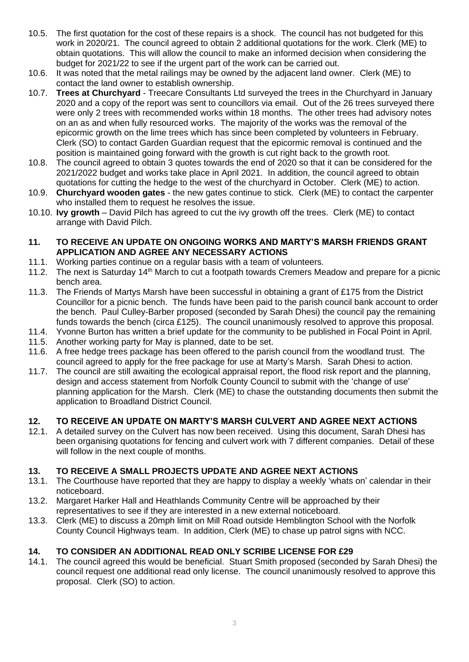- 10.5. The first quotation for the cost of these repairs is a shock. The council has not budgeted for this work in 2020/21. The council agreed to obtain 2 additional quotations for the work. Clerk (ME) to obtain quotations. This will allow the council to make an informed decision when considering the budget for 2021/22 to see if the urgent part of the work can be carried out.
- 10.6. It was noted that the metal railings may be owned by the adjacent land owner. Clerk (ME) to contact the land owner to establish ownership.
- 10.7. **Trees at Churchyard** Treecare Consultants Ltd surveyed the trees in the Churchyard in January 2020 and a copy of the report was sent to councillors via email. Out of the 26 trees surveyed there were only 2 trees with recommended works within 18 months. The other trees had advisory notes on an as and when fully resourced works. The majority of the works was the removal of the epicormic growth on the lime trees which has since been completed by volunteers in February. Clerk (SO) to contact Garden Guardian request that the epicormic removal is continued and the position is maintained going forward with the growth is cut right back to the growth root.
- 10.8. The council agreed to obtain 3 quotes towards the end of 2020 so that it can be considered for the 2021/2022 budget and works take place in April 2021. In addition, the council agreed to obtain quotations for cutting the hedge to the west of the churchyard in October. Clerk (ME) to action.
- 10.9. **Churchyard wooden gates** the new gates continue to stick. Clerk (ME) to contact the carpenter who installed them to request he resolves the issue.
- 10.10. **Ivy growth** David Pilch has agreed to cut the ivy growth off the trees. Clerk (ME) to contact arrange with David Pilch.

#### **11. TO RECEIVE AN UPDATE ON ONGOING WORKS AND MARTY'S MARSH FRIENDS GRANT APPLICATION AND AGREE ANY NECESSARY ACTIONS**

- 11.1. Working parties continue on a regular basis with a team of volunteers.
- 11.2. The next is Saturday 14<sup>th</sup> March to cut a footpath towards Cremers Meadow and prepare for a picnic bench area.
- 11.3. The Friends of Martys Marsh have been successful in obtaining a grant of £175 from the District Councillor for a picnic bench. The funds have been paid to the parish council bank account to order the bench. Paul Culley-Barber proposed (seconded by Sarah Dhesi) the council pay the remaining funds towards the bench (circa £125). The council unanimously resolved to approve this proposal.
- 11.4. Yvonne Burton has written a brief update for the community to be published in Focal Point in April.
- 11.5. Another working party for May is planned, date to be set.
- 11.6. A free hedge trees package has been offered to the parish council from the woodland trust. The council agreed to apply for the free package for use at Marty's Marsh. Sarah Dhesi to action.
- 11.7. The council are still awaiting the ecological appraisal report, the flood risk report and the planning, design and access statement from Norfolk County Council to submit with the 'change of use' planning application for the Marsh. Clerk (ME) to chase the outstanding documents then submit the application to Broadland District Council.

# **12. TO RECEIVE AN UPDATE ON MARTY'S MARSH CULVERT AND AGREE NEXT ACTIONS**

12.1. A detailed survey on the Culvert has now been received. Using this document, Sarah Dhesi has been organising quotations for fencing and culvert work with 7 different companies. Detail of these will follow in the next couple of months.

# **13. TO RECEIVE A SMALL PROJECTS UPDATE AND AGREE NEXT ACTIONS**

- 13.1. The Courthouse have reported that they are happy to display a weekly 'whats on' calendar in their noticeboard.
- 13.2. Margaret Harker Hall and Heathlands Community Centre will be approached by their representatives to see if they are interested in a new external noticeboard.
- 13.3. Clerk (ME) to discuss a 20mph limit on Mill Road outside Hemblington School with the Norfolk County Council Highways team. In addition, Clerk (ME) to chase up patrol signs with NCC.

# **14. TO CONSIDER AN ADDITIONAL READ ONLY SCRIBE LICENSE FOR £29**

14.1. The council agreed this would be beneficial. Stuart Smith proposed (seconded by Sarah Dhesi) the council request one additional read only license. The council unanimously resolved to approve this proposal. Clerk (SO) to action.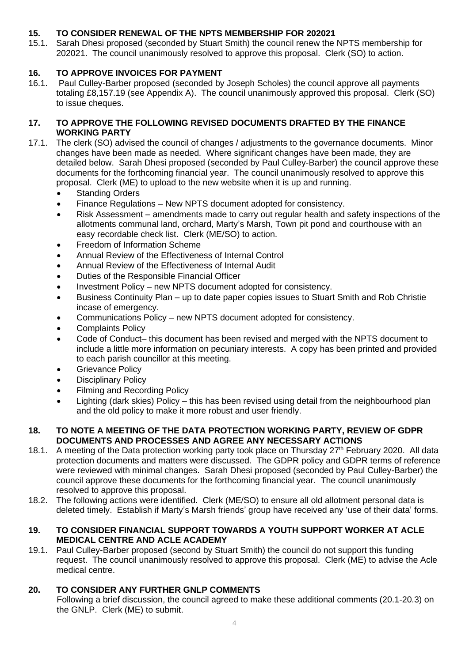# **15. TO CONSIDER RENEWAL OF THE NPTS MEMBERSHIP FOR 202021**

15.1. Sarah Dhesi proposed (seconded by Stuart Smith) the council renew the NPTS membership for 202021. The council unanimously resolved to approve this proposal. Clerk (SO) to action.

# **16. TO APPROVE INVOICES FOR PAYMENT**

16.1. Paul Culley-Barber proposed (seconded by Joseph Scholes) the council approve all payments totaling £8,157.19 (see Appendix A). The council unanimously approved this proposal. Clerk (SO) to issue cheques.

# **17. TO APPROVE THE FOLLOWING REVISED DOCUMENTS DRAFTED BY THE FINANCE WORKING PARTY**

- 17.1. The clerk (SO) advised the council of changes / adjustments to the governance documents. Minor changes have been made as needed. Where significant changes have been made, they are detailed below. Sarah Dhesi proposed (seconded by Paul Culley-Barber) the council approve these documents for the forthcoming financial year. The council unanimously resolved to approve this proposal. Clerk (ME) to upload to the new website when it is up and running.
	- **Standing Orders**
	- Finance Regulations New NPTS document adopted for consistency.
	- Risk Assessment amendments made to carry out regular health and safety inspections of the allotments communal land, orchard, Marty's Marsh, Town pit pond and courthouse with an easy recordable check list. Clerk (ME/SO) to action.
	- Freedom of Information Scheme
	- Annual Review of the Effectiveness of Internal Control
	- Annual Review of the Effectiveness of Internal Audit
	- Duties of the Responsible Financial Officer
	- Investment Policy new NPTS document adopted for consistency.
	- Business Continuity Plan up to date paper copies issues to Stuart Smith and Rob Christie incase of emergency.
	- Communications Policy new NPTS document adopted for consistency.
	- Complaints Policv
	- Code of Conduct– this document has been revised and merged with the NPTS document to include a little more information on pecuniary interests. A copy has been printed and provided to each parish councillor at this meeting.
	- Grievance Policy
	- Disciplinary Policy
	- Filming and Recording Policy
	- Lighting (dark skies) Policy this has been revised using detail from the neighbourhood plan and the old policy to make it more robust and user friendly.

#### **18. TO NOTE A MEETING OF THE DATA PROTECTION WORKING PARTY, REVIEW OF GDPR DOCUMENTS AND PROCESSES AND AGREE ANY NECESSARY ACTIONS**

- 18.1. A meeting of the Data protection working party took place on Thursday 27<sup>th</sup> February 2020. All data protection documents and matters were discussed. The GDPR policy and GDPR terms of reference were reviewed with minimal changes. Sarah Dhesi proposed (seconded by Paul Culley-Barber) the council approve these documents for the forthcoming financial year. The council unanimously resolved to approve this proposal.
- 18.2. The following actions were identified. Clerk (ME/SO) to ensure all old allotment personal data is deleted timely. Establish if Marty's Marsh friends' group have received any 'use of their data' forms.

## **19. TO CONSIDER FINANCIAL SUPPORT TOWARDS A YOUTH SUPPORT WORKER AT ACLE MEDICAL CENTRE AND ACLE ACADEMY**

19.1. Paul Culley-Barber proposed (second by Stuart Smith) the council do not support this funding request. The council unanimously resolved to approve this proposal. Clerk (ME) to advise the Acle medical centre.

# **20. TO CONSIDER ANY FURTHER GNLP COMMENTS**

Following a brief discussion, the council agreed to make these additional comments (20.1-20.3) on the GNLP. Clerk (ME) to submit.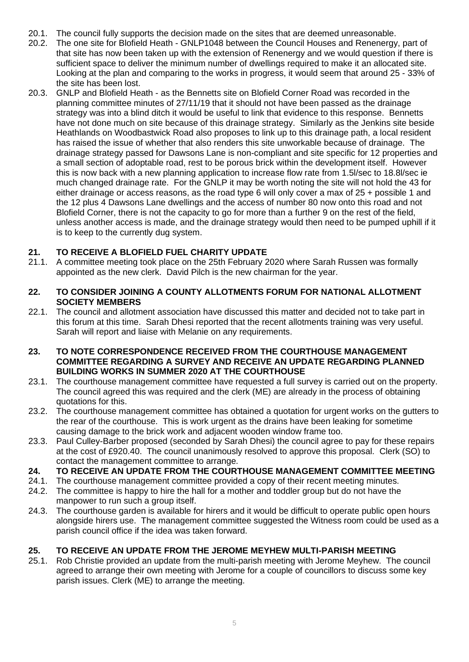- 20.1. The council fully supports the decision made on the sites that are deemed unreasonable.
- 20.2. The one site for Blofield Heath GNLP1048 between the Council Houses and Renenergy, part of that site has now been taken up with the extension of Renenergy and we would question if there is sufficient space to deliver the minimum number of dwellings required to make it an allocated site. Looking at the plan and comparing to the works in progress, it would seem that around 25 - 33% of the site has been lost.
- 20.3. GNLP and Blofield Heath as the Bennetts site on Blofield Corner Road was recorded in the planning committee minutes of 27/11/19 that it should not have been passed as the drainage strategy was into a blind ditch it would be useful to link that evidence to this response. Bennetts have not done much on site because of this drainage strategy. Similarly as the Jenkins site beside Heathlands on Woodbastwick Road also proposes to link up to this drainage path, a local resident has raised the issue of whether that also renders this site unworkable because of drainage. The drainage strategy passed for Dawsons Lane is non-compliant and site specific for 12 properties and a small section of adoptable road, rest to be porous brick within the development itself. However this is now back with a new planning application to increase flow rate from 1.5l/sec to 18.8l/sec ie much changed drainage rate. For the GNLP it may be worth noting the site will not hold the 43 for either drainage or access reasons, as the road type 6 will only cover a max of 25 + possible 1 and the 12 plus 4 Dawsons Lane dwellings and the access of number 80 now onto this road and not Blofield Corner, there is not the capacity to go for more than a further 9 on the rest of the field, unless another access is made, and the drainage strategy would then need to be pumped uphill if it is to keep to the currently dug system.

# **21. TO RECEIVE A BLOFIELD FUEL CHARITY UPDATE**

21.1. A committee meeting took place on the 25th February 2020 where Sarah Russen was formally appointed as the new clerk. David Pilch is the new chairman for the year.

#### **22. TO CONSIDER JOINING A COUNTY ALLOTMENTS FORUM FOR NATIONAL ALLOTMENT SOCIETY MEMBERS**

- 22.1. The council and allotment association have discussed this matter and decided not to take part in this forum at this time. Sarah Dhesi reported that the recent allotments training was very useful. Sarah will report and liaise with Melanie on any requirements.
- **23. TO NOTE CORRESPONDENCE RECEIVED FROM THE COURTHOUSE MANAGEMENT COMMITTEE REGARDING A SURVEY AND RECEIVE AN UPDATE REGARDING PLANNED BUILDING WORKS IN SUMMER 2020 AT THE COURTHOUSE**
- 23.1. The courthouse management committee have requested a full survey is carried out on the property. The council agreed this was required and the clerk (ME) are already in the process of obtaining quotations for this.
- 23.2. The courthouse management committee has obtained a quotation for urgent works on the gutters to the rear of the courthouse. This is work urgent as the drains have been leaking for sometime causing damage to the brick work and adjacent wooden window frame too.
- 23.3. Paul Culley-Barber proposed (seconded by Sarah Dhesi) the council agree to pay for these repairs at the cost of £920.40. The council unanimously resolved to approve this proposal. Clerk (SO) to contact the management committee to arrange.

# **24. TO RECEIVE AN UPDATE FROM THE COURTHOUSE MANAGEMENT COMMITTEE MEETING**

- 24.1. The courthouse management committee provided a copy of their recent meeting minutes.
- 24.2. The committee is happy to hire the hall for a mother and toddler group but do not have the manpower to run such a group itself.
- 24.3. The courthouse garden is available for hirers and it would be difficult to operate public open hours alongside hirers use. The management committee suggested the Witness room could be used as a parish council office if the idea was taken forward.

#### **25. TO RECEIVE AN UPDATE FROM THE JEROME MEYHEW MULTI-PARISH MEETING**

25.1. Rob Christie provided an update from the multi-parish meeting with Jerome Meyhew. The council agreed to arrange their own meeting with Jerome for a couple of councillors to discuss some key parish issues. Clerk (ME) to arrange the meeting.